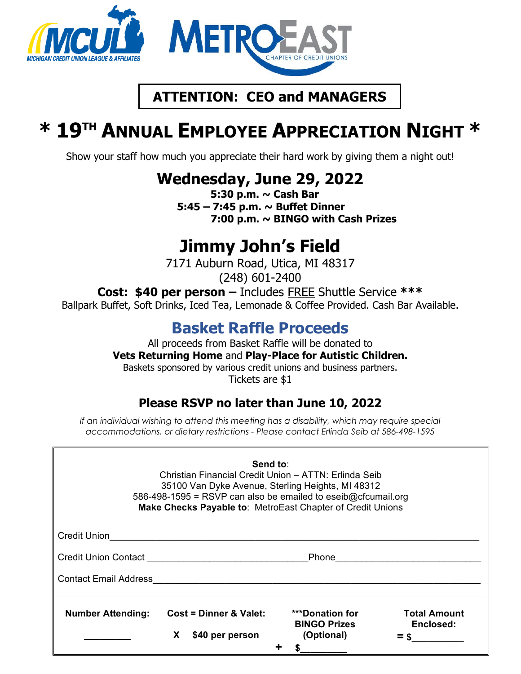

# **ATTENTION: CEO and MANAGERS**

# **\* 19TH ANNUAL EMPLOYEE APPRECIATION NIGHT \***

Show your staff how much you appreciate their hard work by giving them a night out!

**Wednesday, June 29, 2022**<br>5:30 p.m. ~ Cash Bar

 **5:45 – 7:45 p.m. ~ Buffet Dinner 7:00 p.m. ~ BINGO with Cash Prizes**

# **Jimmy John's Field**<br>7171 Auburn Road, Utica, MI 48317

(248) 601-2400

**Cost: \$40 per person –** Includes FREE Shuttle Service **\*\*\***

Ballpark Buffet, Soft Drinks, Iced Tea, Lemonade & Coffee Provided. Cash Bar Available.

# **Basket Raffle Proceeds**

All proceeds from Basket Raffle will be donated to **Vets Returning Home** and **Play-Place for Autistic Children.** Baskets sponsored by various credit unions and business partners. Tickets are \$1

### **Please RSVP no later than June 10, 2022**

*If an individual wishing to attend this meeting has a disability, which may require special accommodations, or dietary restrictions - Please contact Erlinda Seib at 586-498-1595* 

| Send to:<br>Christian Financial Credit Union - ATTN: Erlinda Seib<br>35100 Van Dyke Avenue, Sterling Heights, MI 48312<br>586-498-1595 = RSVP can also be emailed to eseib@cfcumail.org<br>Make Checks Payable to: MetroEast Chapter of Credit Unions |    |                                           |  |                                                             |                                  |
|-------------------------------------------------------------------------------------------------------------------------------------------------------------------------------------------------------------------------------------------------------|----|-------------------------------------------|--|-------------------------------------------------------------|----------------------------------|
| Credit Union                                                                                                                                                                                                                                          |    |                                           |  |                                                             |                                  |
| Credit Union Contact<br><u> Credit Union Contact</u>                                                                                                                                                                                                  |    |                                           |  | Phone                                                       |                                  |
| <b>Contact Email Address</b>                                                                                                                                                                                                                          |    |                                           |  |                                                             |                                  |
| <b>Number Attending:</b>                                                                                                                                                                                                                              | X. | Cost = Dinner & Valet:<br>\$40 per person |  | <b>***Donation for</b><br><b>BINGO Prizes</b><br>(Optional) | <b>Total Amount</b><br>Enclosed: |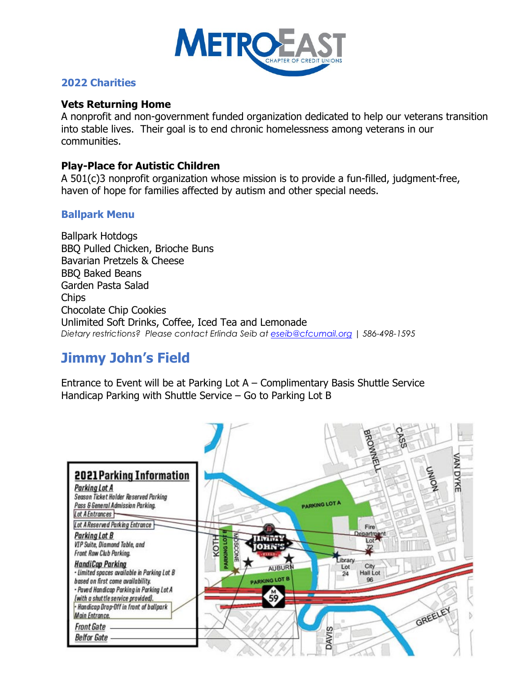

#### **2022 Charities**

#### **Vets Returning Home**

A nonprofit and non-government funded organization dedicated to help our veterans transition into stable lives. Their goal is to end chronic homelessness among veterans in our communities.

#### **Play-Place for Autistic Children**

A 501(c)3 nonprofit organization whose mission is to provide a fun-filled, judgment-free, haven of hope for families affected by autism and other special needs.

#### **Ballpark Menu**

Ballpark Hotdogs BBQ Pulled Chicken, Brioche Buns Bavarian Pretzels & Cheese BBQ Baked Beans Garden Pasta Salad **Chips** Chocolate Chip Cookies Unlimited Soft Drinks, Coffee, Iced Tea and Lemonade *Dietary restrictions? Please contact Erlinda Seib at [eseib@cfcumail.org](mailto:eseib@cfcumail.org) | 586-498-1595*

# **Jimmy John's Field**

Entrance to Event will be at Parking Lot A – Complimentary Basis Shuttle Service Handicap Parking with Shuttle Service – Go to Parking Lot B